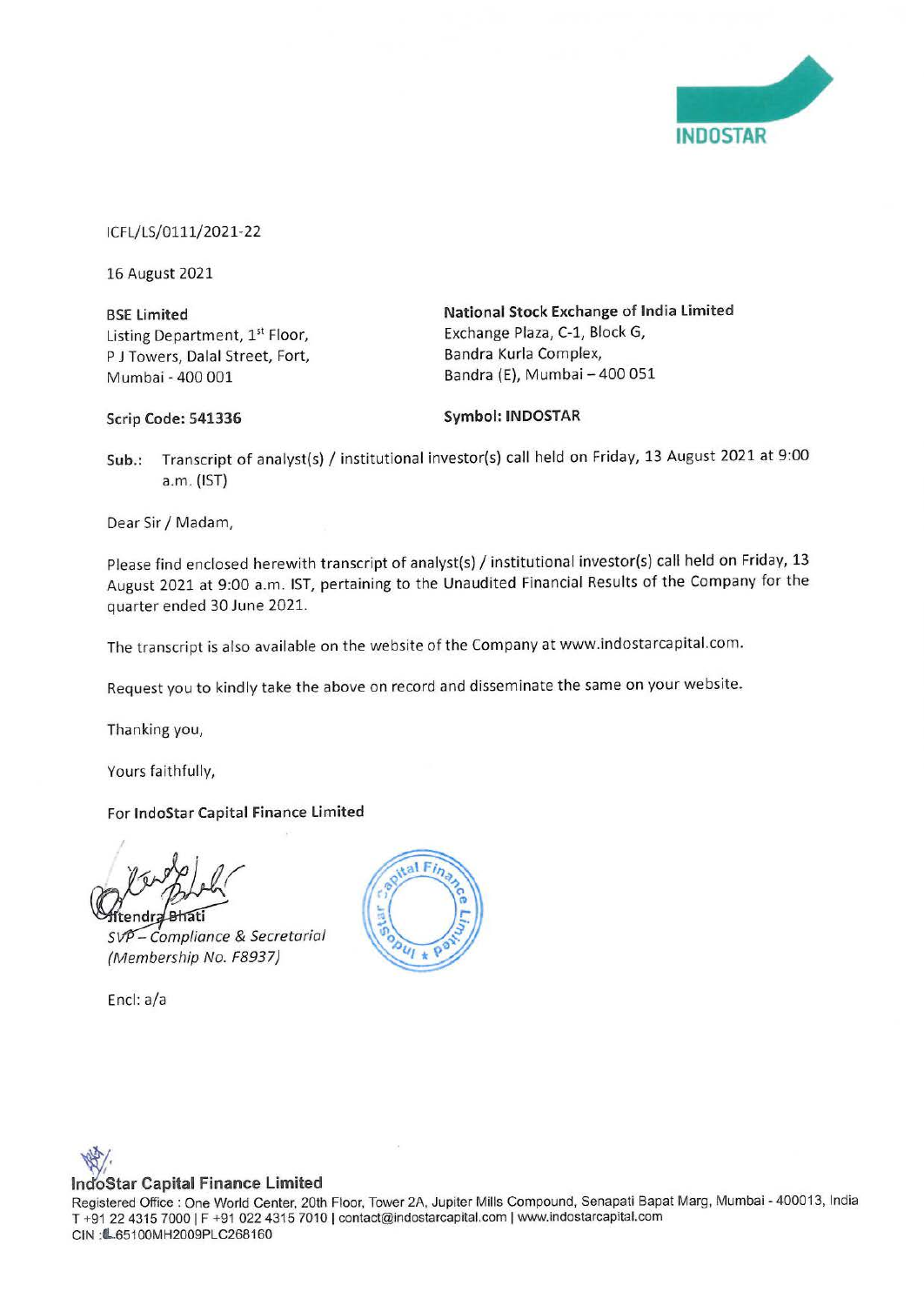

ICFL/LS/0111/2021-22

16 August 2021

**BSE Limited**  Listing Department, 1<sup>st</sup> Floor, P J Towers, Dalal Street, Fort, Mumbai - 400 001

**National Stock Exchange of India limited**  Exchange Plaza, C-1, Block G, Bandra Kurla Complex, Bandra (E), Mumbai - 400 051

#### **Scrip Code: 541336**

**Symbol: INDOSTAR** 

**Sub.:** Transcript of analyst(s) / institutional investor(s) call held on Friday, 13 August 2021 at 9:00 a.m. (1ST)

Dear Sir/ Madam,

Please find enclosed herewith transcript of analyst(s) / institutional investor(s) call held on Friday, 13 August 2021 at 9:00 a.m. 1ST, pertaining to the Unaudited Financial Results of the Company for the quarter ended 30 June 2021.

The transcript is also available on the website of the Company at www.indostarcapital.com.

Request you to kindly take the above on record and disseminate the same on your website.

Thanking you,

Yours faithfully,

#### For **lndoStar Capital Finance Limited**

endra **Atiati** 

- Compliance & Secretarial {Membership No. F8937)

Encl: a/a



## **IndoStar Capital Finance Limited**

Registered Office: One World Center, 20th Floor, Tower 2A, Jupiter Mills Compound, Senapati Bapat Marg, Mumbai - 400013, India T +91 22 4315 7000 | F +91 022 4315 7010 | contact@indostarcapital.com | www.indostarcapital.com CIN : L65100MH2009PLC268160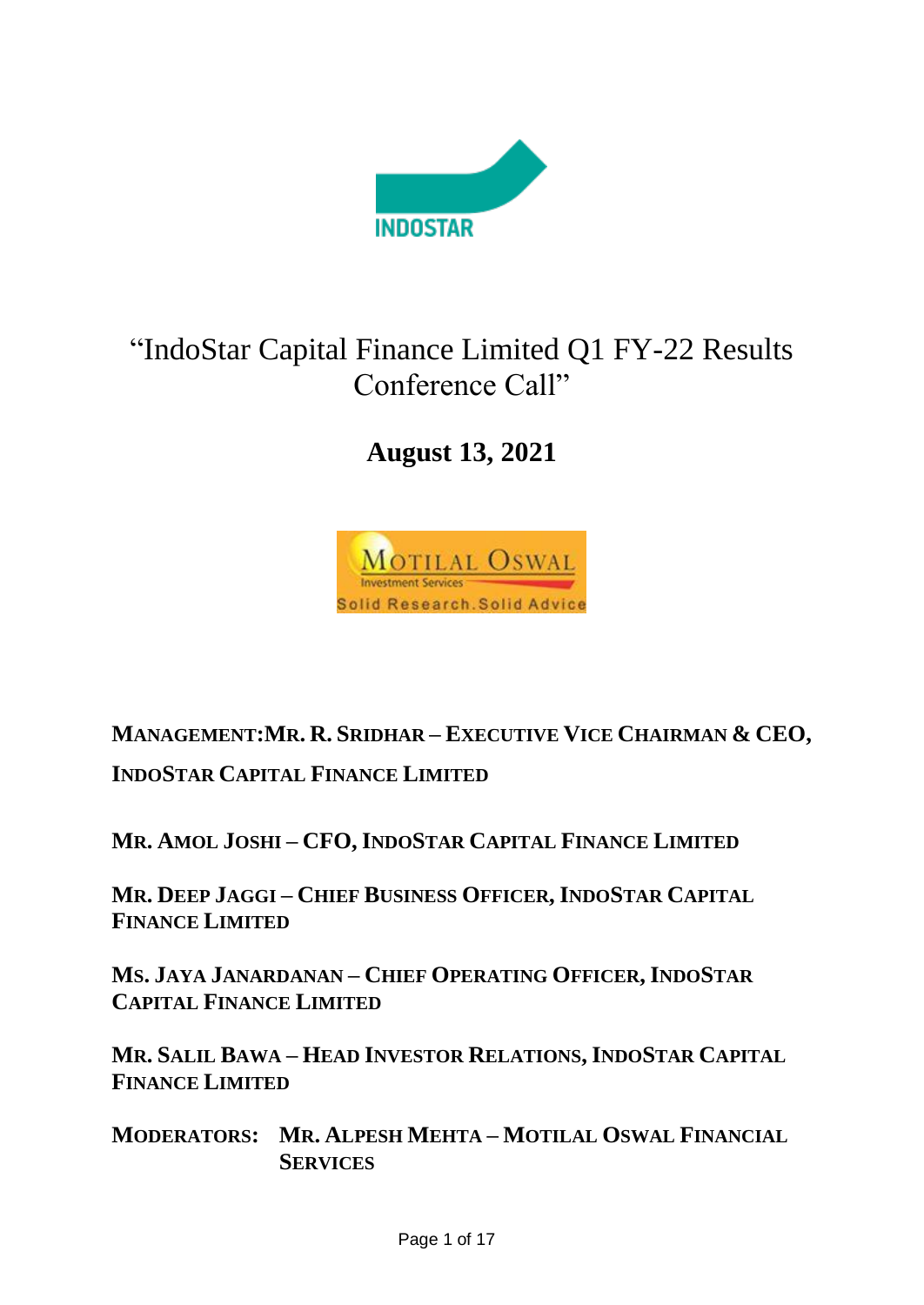

# "IndoStar Capital Finance Limited Q1 FY-22 Results Conference Call"

**August 13, 2021**



**MANAGEMENT:MR. R. SRIDHAR – EXECUTIVE VICE CHAIRMAN & CEO,**

**INDOSTAR CAPITAL FINANCE LIMITED**

**MR. AMOL JOSHI – CFO, INDOSTAR CAPITAL FINANCE LIMITED**

**MR. DEEP JAGGI – CHIEF BUSINESS OFFICER, INDOSTAR CAPITAL FINANCE LIMITED**

**MS. JAYA JANARDANAN – CHIEF OPERATING OFFICER, INDOSTAR CAPITAL FINANCE LIMITED**

**MR. SALIL BAWA – HEAD INVESTOR RELATIONS, INDOSTAR CAPITAL FINANCE LIMITED**

**MODERATORS: MR. ALPESH MEHTA – MOTILAL OSWAL FINANCIAL SERVICES**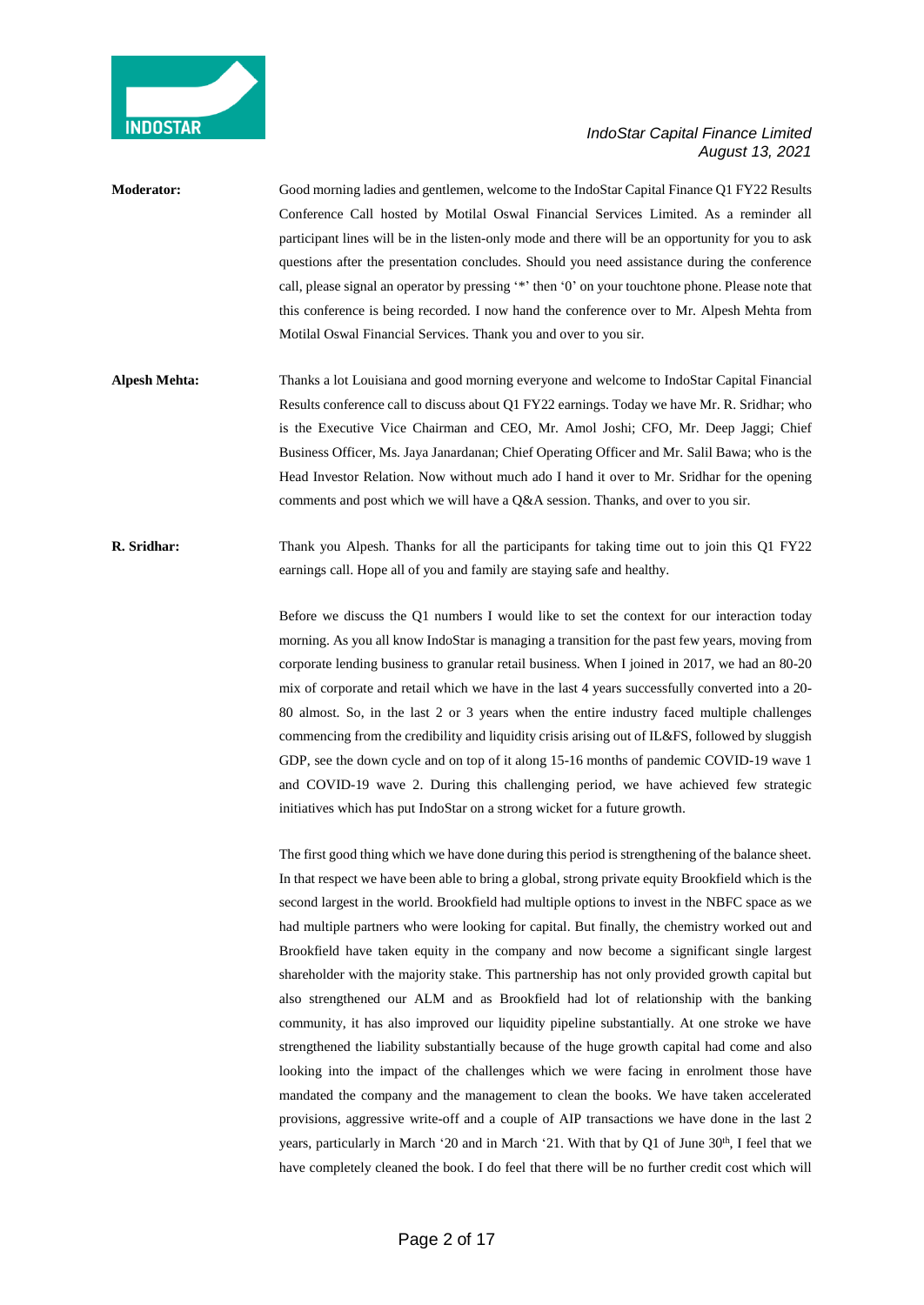

- **Moderator:** Good morning ladies and gentlemen, welcome to the IndoStar Capital Finance Q1 FY22 Results Conference Call hosted by Motilal Oswal Financial Services Limited. As a reminder all participant lines will be in the listen-only mode and there will be an opportunity for you to ask questions after the presentation concludes. Should you need assistance during the conference call, please signal an operator by pressing '\*' then '0' on your touchtone phone. Please note that this conference is being recorded. I now hand the conference over to Mr. Alpesh Mehta from Motilal Oswal Financial Services. Thank you and over to you sir.
- **Alpesh Mehta:** Thanks a lot Louisiana and good morning everyone and welcome to IndoStar Capital Financial Results conference call to discuss about Q1 FY22 earnings. Today we have Mr. R. Sridhar; who is the Executive Vice Chairman and CEO, Mr. Amol Joshi; CFO, Mr. Deep Jaggi; Chief Business Officer, Ms. Jaya Janardanan; Chief Operating Officer and Mr. Salil Bawa; who is the Head Investor Relation. Now without much ado I hand it over to Mr. Sridhar for the opening comments and post which we will have a Q&A session. Thanks, and over to you sir.

**R. Sridhar:** Thank you Alpesh. Thanks for all the participants for taking time out to join this Q1 FY22 earnings call. Hope all of you and family are staying safe and healthy.

> Before we discuss the Q1 numbers I would like to set the context for our interaction today morning. As you all know IndoStar is managing a transition for the past few years, moving from corporate lending business to granular retail business. When I joined in 2017, we had an 80-20 mix of corporate and retail which we have in the last 4 years successfully converted into a 20- 80 almost. So, in the last 2 or 3 years when the entire industry faced multiple challenges commencing from the credibility and liquidity crisis arising out of IL&FS, followed by sluggish GDP, see the down cycle and on top of it along 15-16 months of pandemic COVID-19 wave 1 and COVID-19 wave 2. During this challenging period, we have achieved few strategic initiatives which has put IndoStar on a strong wicket for a future growth.

> The first good thing which we have done during this period is strengthening of the balance sheet. In that respect we have been able to bring a global, strong private equity Brookfield which is the second largest in the world. Brookfield had multiple options to invest in the NBFC space as we had multiple partners who were looking for capital. But finally, the chemistry worked out and Brookfield have taken equity in the company and now become a significant single largest shareholder with the majority stake. This partnership has not only provided growth capital but also strengthened our ALM and as Brookfield had lot of relationship with the banking community, it has also improved our liquidity pipeline substantially. At one stroke we have strengthened the liability substantially because of the huge growth capital had come and also looking into the impact of the challenges which we were facing in enrolment those have mandated the company and the management to clean the books. We have taken accelerated provisions, aggressive write-off and a couple of AIP transactions we have done in the last 2 years, particularly in March '20 and in March '21. With that by Q1 of June 30<sup>th</sup>, I feel that we have completely cleaned the book. I do feel that there will be no further credit cost which will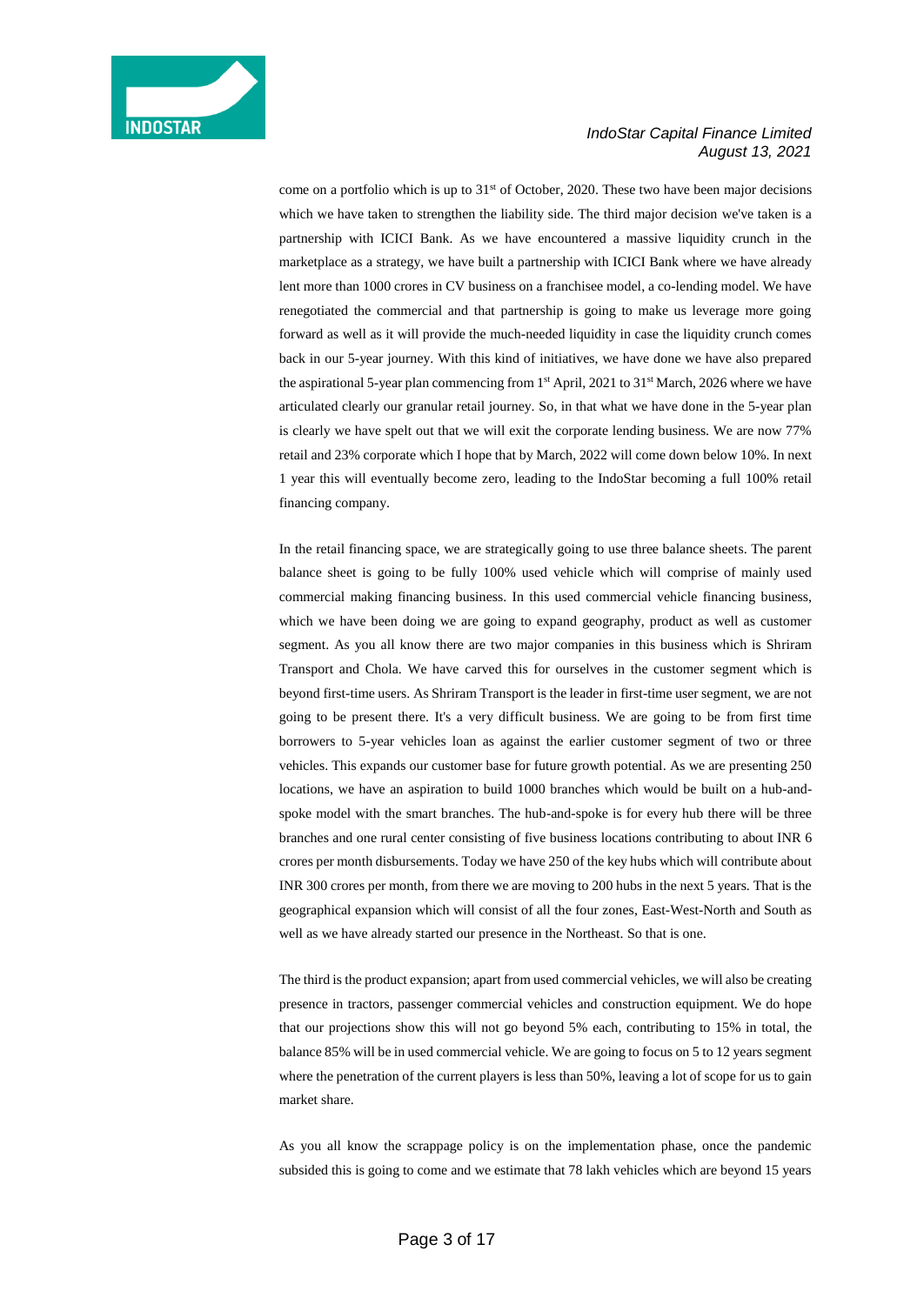

come on a portfolio which is up to  $31<sup>st</sup>$  of October, 2020. These two have been major decisions which we have taken to strengthen the liability side. The third major decision we've taken is a partnership with ICICI Bank. As we have encountered a massive liquidity crunch in the marketplace as a strategy, we have built a partnership with ICICI Bank where we have already lent more than 1000 crores in CV business on a franchisee model, a co-lending model. We have renegotiated the commercial and that partnership is going to make us leverage more going forward as well as it will provide the much-needed liquidity in case the liquidity crunch comes back in our 5-year journey. With this kind of initiatives, we have done we have also prepared the aspirational 5-year plan commencing from 1<sup>st</sup> April, 2021 to 31<sup>st</sup> March, 2026 where we have articulated clearly our granular retail journey. So, in that what we have done in the 5-year plan is clearly we have spelt out that we will exit the corporate lending business. We are now 77% retail and 23% corporate which I hope that by March, 2022 will come down below 10%. In next 1 year this will eventually become zero, leading to the IndoStar becoming a full 100% retail financing company.

In the retail financing space, we are strategically going to use three balance sheets. The parent balance sheet is going to be fully 100% used vehicle which will comprise of mainly used commercial making financing business. In this used commercial vehicle financing business, which we have been doing we are going to expand geography, product as well as customer segment. As you all know there are two major companies in this business which is Shriram Transport and Chola. We have carved this for ourselves in the customer segment which is beyond first-time users. As Shriram Transport is the leader in first-time user segment, we are not going to be present there. It's a very difficult business. We are going to be from first time borrowers to 5-year vehicles loan as against the earlier customer segment of two or three vehicles. This expands our customer base for future growth potential. As we are presenting 250 locations, we have an aspiration to build 1000 branches which would be built on a hub-andspoke model with the smart branches. The hub-and-spoke is for every hub there will be three branches and one rural center consisting of five business locations contributing to about INR 6 crores per month disbursements. Today we have 250 of the key hubs which will contribute about INR 300 crores per month, from there we are moving to 200 hubs in the next 5 years. That is the geographical expansion which will consist of all the four zones, East-West-North and South as well as we have already started our presence in the Northeast. So that is one.

The third is the product expansion; apart from used commercial vehicles, we will also be creating presence in tractors, passenger commercial vehicles and construction equipment. We do hope that our projections show this will not go beyond 5% each, contributing to 15% in total, the balance 85% will be in used commercial vehicle. We are going to focus on 5 to 12 years segment where the penetration of the current players is less than 50%, leaving a lot of scope for us to gain market share.

As you all know the scrappage policy is on the implementation phase, once the pandemic subsided this is going to come and we estimate that 78 lakh vehicles which are beyond 15 years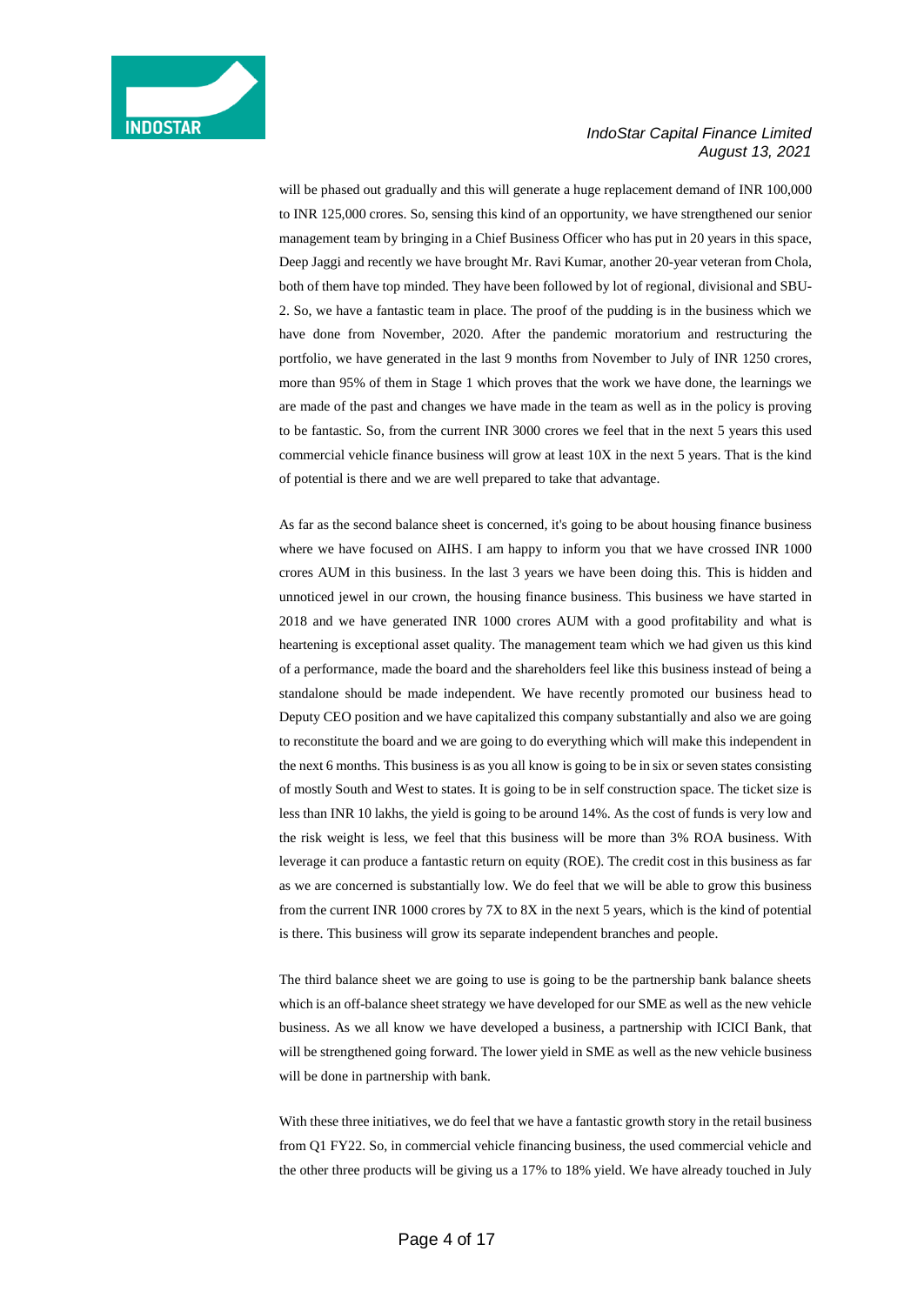

will be phased out gradually and this will generate a huge replacement demand of INR 100,000 to INR 125,000 crores. So, sensing this kind of an opportunity, we have strengthened our senior management team by bringing in a Chief Business Officer who has put in 20 years in this space, Deep Jaggi and recently we have brought Mr. Ravi Kumar, another 20-year veteran from Chola, both of them have top minded. They have been followed by lot of regional, divisional and SBU-2. So, we have a fantastic team in place. The proof of the pudding is in the business which we have done from November, 2020. After the pandemic moratorium and restructuring the portfolio, we have generated in the last 9 months from November to July of INR 1250 crores, more than 95% of them in Stage 1 which proves that the work we have done, the learnings we are made of the past and changes we have made in the team as well as in the policy is proving to be fantastic. So, from the current INR 3000 crores we feel that in the next 5 years this used commercial vehicle finance business will grow at least 10X in the next 5 years. That is the kind of potential is there and we are well prepared to take that advantage.

As far as the second balance sheet is concerned, it's going to be about housing finance business where we have focused on AIHS. I am happy to inform you that we have crossed INR 1000 crores AUM in this business. In the last 3 years we have been doing this. This is hidden and unnoticed jewel in our crown, the housing finance business. This business we have started in 2018 and we have generated INR 1000 crores AUM with a good profitability and what is heartening is exceptional asset quality. The management team which we had given us this kind of a performance, made the board and the shareholders feel like this business instead of being a standalone should be made independent. We have recently promoted our business head to Deputy CEO position and we have capitalized this company substantially and also we are going to reconstitute the board and we are going to do everything which will make this independent in the next 6 months. This business is as you all know is going to be in six or seven states consisting of mostly South and West to states. It is going to be in self construction space. The ticket size is less than INR 10 lakhs, the yield is going to be around 14%. As the cost of funds is very low and the risk weight is less, we feel that this business will be more than 3% ROA business. With leverage it can produce a fantastic return on equity (ROE). The credit cost in this business as far as we are concerned is substantially low. We do feel that we will be able to grow this business from the current INR 1000 crores by 7X to 8X in the next 5 years, which is the kind of potential is there. This business will grow its separate independent branches and people.

The third balance sheet we are going to use is going to be the partnership bank balance sheets which is an off-balance sheet strategy we have developed for our SME as well as the new vehicle business. As we all know we have developed a business, a partnership with ICICI Bank, that will be strengthened going forward. The lower yield in SME as well as the new vehicle business will be done in partnership with bank.

With these three initiatives, we do feel that we have a fantastic growth story in the retail business from Q1 FY22. So, in commercial vehicle financing business, the used commercial vehicle and the other three products will be giving us a 17% to 18% yield. We have already touched in July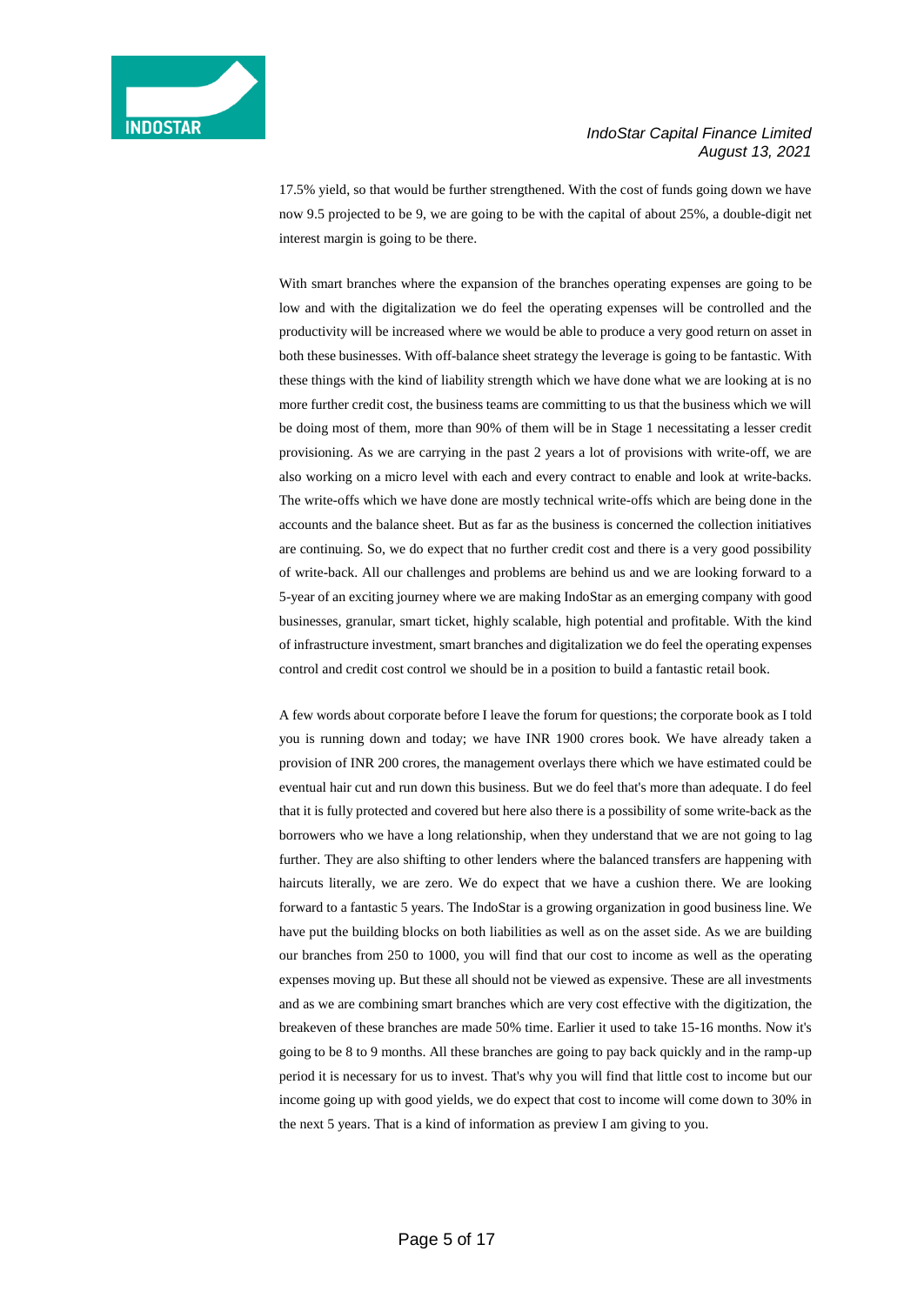

17.5% yield, so that would be further strengthened. With the cost of funds going down we have now 9.5 projected to be 9, we are going to be with the capital of about 25%, a double-digit net interest margin is going to be there.

With smart branches where the expansion of the branches operating expenses are going to be low and with the digitalization we do feel the operating expenses will be controlled and the productivity will be increased where we would be able to produce a very good return on asset in both these businesses. With off-balance sheet strategy the leverage is going to be fantastic. With these things with the kind of liability strength which we have done what we are looking at is no more further credit cost, the business teams are committing to us that the business which we will be doing most of them, more than 90% of them will be in Stage 1 necessitating a lesser credit provisioning. As we are carrying in the past 2 years a lot of provisions with write-off, we are also working on a micro level with each and every contract to enable and look at write-backs. The write-offs which we have done are mostly technical write-offs which are being done in the accounts and the balance sheet. But as far as the business is concerned the collection initiatives are continuing. So, we do expect that no further credit cost and there is a very good possibility of write-back. All our challenges and problems are behind us and we are looking forward to a 5-year of an exciting journey where we are making IndoStar as an emerging company with good businesses, granular, smart ticket, highly scalable, high potential and profitable. With the kind of infrastructure investment, smart branches and digitalization we do feel the operating expenses control and credit cost control we should be in a position to build a fantastic retail book.

A few words about corporate before I leave the forum for questions; the corporate book as I told you is running down and today; we have INR 1900 crores book. We have already taken a provision of INR 200 crores, the management overlays there which we have estimated could be eventual hair cut and run down this business. But we do feel that's more than adequate. I do feel that it is fully protected and covered but here also there is a possibility of some write-back as the borrowers who we have a long relationship, when they understand that we are not going to lag further. They are also shifting to other lenders where the balanced transfers are happening with haircuts literally, we are zero. We do expect that we have a cushion there. We are looking forward to a fantastic 5 years. The IndoStar is a growing organization in good business line. We have put the building blocks on both liabilities as well as on the asset side. As we are building our branches from 250 to 1000, you will find that our cost to income as well as the operating expenses moving up. But these all should not be viewed as expensive. These are all investments and as we are combining smart branches which are very cost effective with the digitization, the breakeven of these branches are made 50% time. Earlier it used to take 15-16 months. Now it's going to be 8 to 9 months. All these branches are going to pay back quickly and in the ramp-up period it is necessary for us to invest. That's why you will find that little cost to income but our income going up with good yields, we do expect that cost to income will come down to 30% in the next 5 years. That is a kind of information as preview I am giving to you.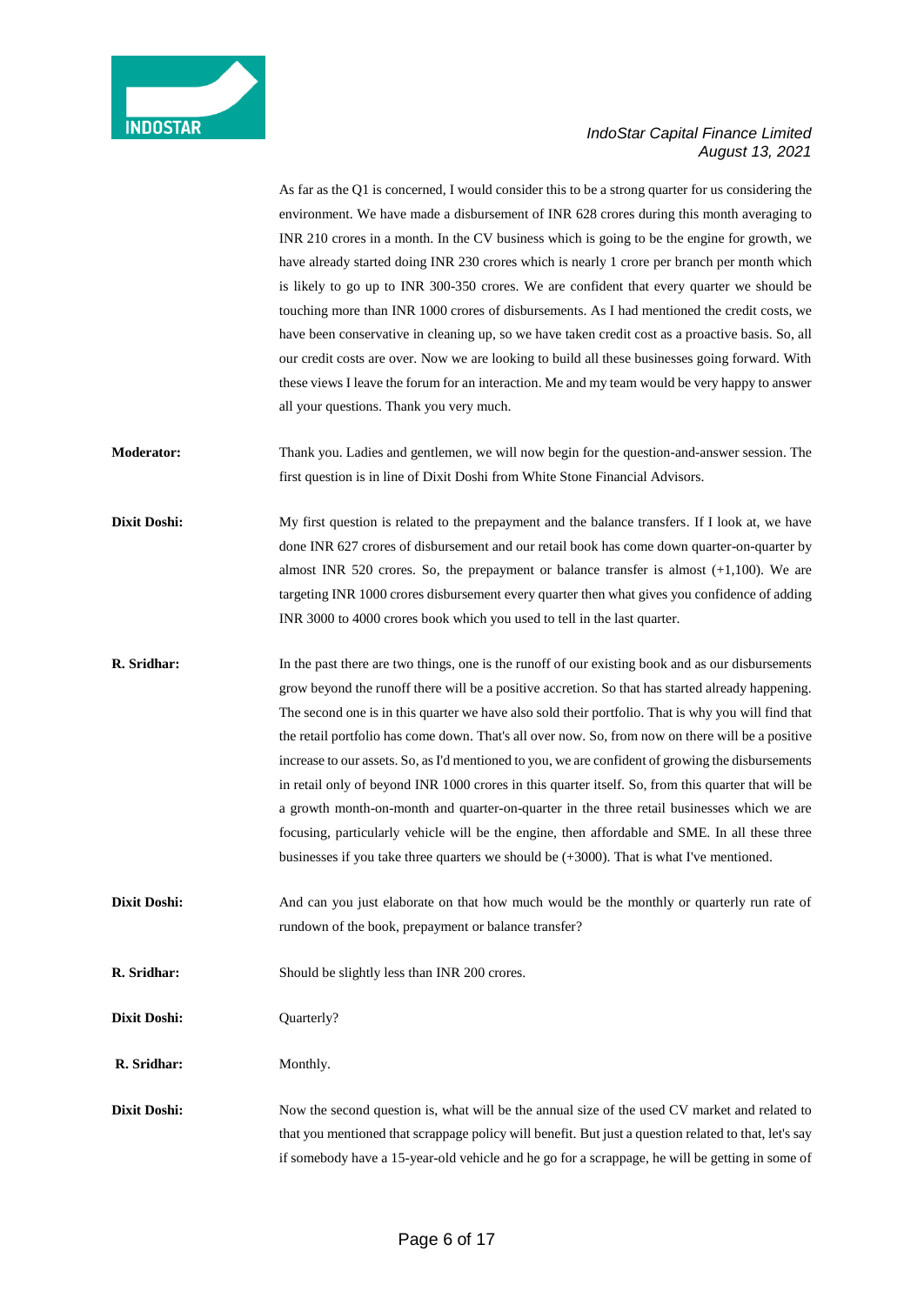

As far as the Q1 is concerned, I would consider this to be a strong quarter for us considering the environment. We have made a disbursement of INR 628 crores during this month averaging to INR 210 crores in a month. In the CV business which is going to be the engine for growth, we have already started doing INR 230 crores which is nearly 1 crore per branch per month which is likely to go up to INR 300-350 crores. We are confident that every quarter we should be touching more than INR 1000 crores of disbursements. As I had mentioned the credit costs, we have been conservative in cleaning up, so we have taken credit cost as a proactive basis. So, all our credit costs are over. Now we are looking to build all these businesses going forward. With these views I leave the forum for an interaction. Me and my team would be very happy to answer all your questions. Thank you very much.

**Moderator:** Thank you. Ladies and gentlemen, we will now begin for the question-and-answer session. The first question is in line of Dixit Doshi from White Stone Financial Advisors.

- **Dixit Doshi:** My first question is related to the prepayment and the balance transfers. If I look at, we have done INR 627 crores of disbursement and our retail book has come down quarter-on-quarter by almost INR 520 crores. So, the prepayment or balance transfer is almost  $(+1,100)$ . We are targeting INR 1000 crores disbursement every quarter then what gives you confidence of adding INR 3000 to 4000 crores book which you used to tell in the last quarter.
- **R. Sridhar:** In the past there are two things, one is the runoff of our existing book and as our disbursements grow beyond the runoff there will be a positive accretion. So that has started already happening. The second one is in this quarter we have also sold their portfolio. That is why you will find that the retail portfolio has come down. That's all over now. So, from now on there will be a positive increase to our assets. So, as I'd mentioned to you, we are confident of growing the disbursements in retail only of beyond INR 1000 crores in this quarter itself. So, from this quarter that will be a growth month-on-month and quarter-on-quarter in the three retail businesses which we are focusing, particularly vehicle will be the engine, then affordable and SME. In all these three businesses if you take three quarters we should be (+3000). That is what I've mentioned.
- **Dixit Doshi:** And can you just elaborate on that how much would be the monthly or quarterly run rate of rundown of the book, prepayment or balance transfer?
- **R. Sridhar:** Should be slightly less than INR 200 crores.
- **Dixit Doshi:** Quarterly?
- **R. Sridhar:** Monthly.

**Dixit Doshi:** Now the second question is, what will be the annual size of the used CV market and related to that you mentioned that scrappage policy will benefit. But just a question related to that, let's say if somebody have a 15-year-old vehicle and he go for a scrappage, he will be getting in some of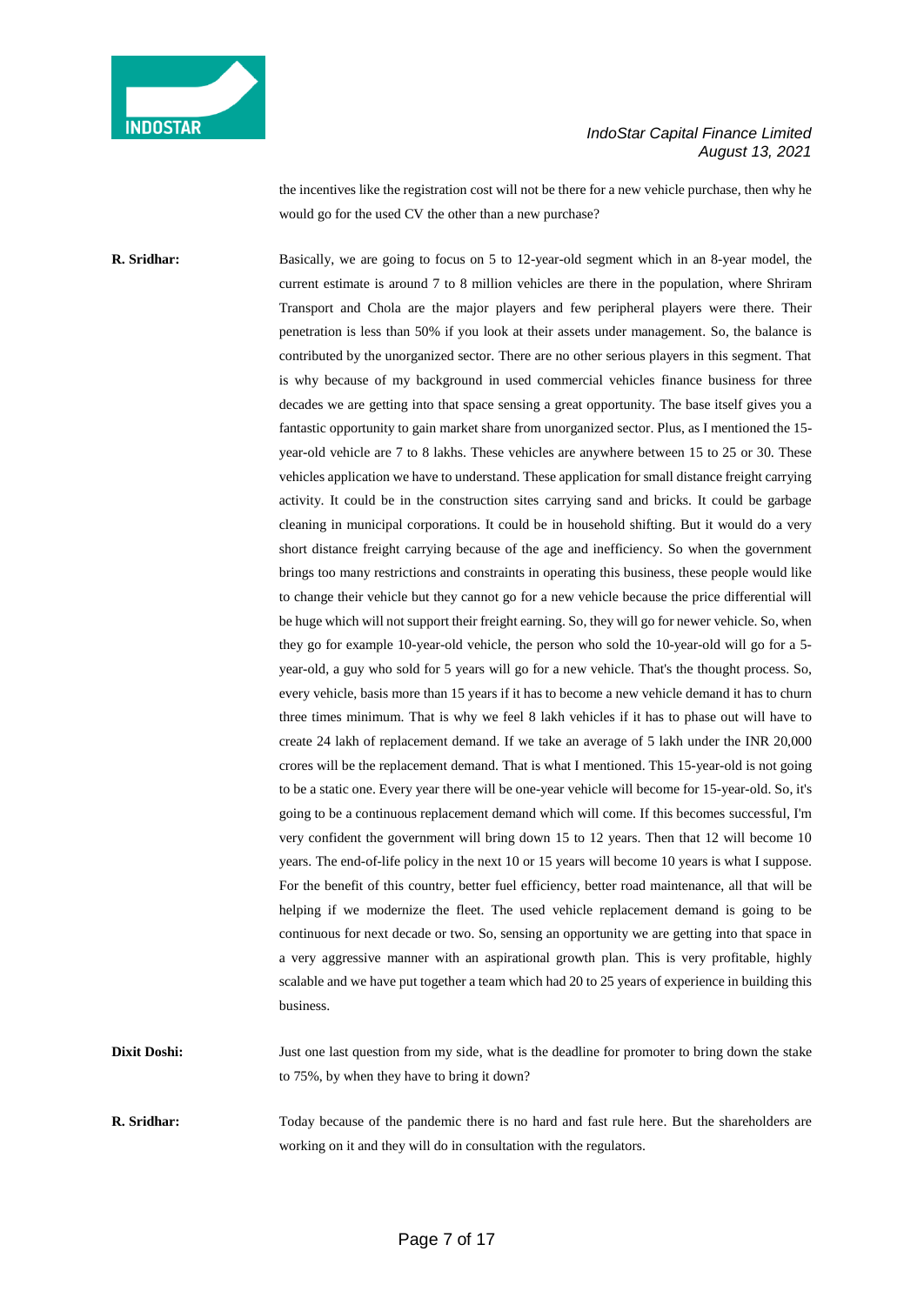

the incentives like the registration cost will not be there for a new vehicle purchase, then why he would go for the used CV the other than a new purchase?

**R. Sridhar:** Basically, we are going to focus on 5 to 12-year-old segment which in an 8-year model, the current estimate is around 7 to 8 million vehicles are there in the population, where Shriram Transport and Chola are the major players and few peripheral players were there. Their penetration is less than 50% if you look at their assets under management. So, the balance is contributed by the unorganized sector. There are no other serious players in this segment. That is why because of my background in used commercial vehicles finance business for three decades we are getting into that space sensing a great opportunity. The base itself gives you a fantastic opportunity to gain market share from unorganized sector. Plus, as I mentioned the 15 year-old vehicle are 7 to 8 lakhs. These vehicles are anywhere between 15 to 25 or 30. These vehicles application we have to understand. These application for small distance freight carrying activity. It could be in the construction sites carrying sand and bricks. It could be garbage cleaning in municipal corporations. It could be in household shifting. But it would do a very short distance freight carrying because of the age and inefficiency. So when the government brings too many restrictions and constraints in operating this business, these people would like to change their vehicle but they cannot go for a new vehicle because the price differential will be huge which will not support their freight earning. So, they will go for newer vehicle. So, when they go for example 10-year-old vehicle, the person who sold the 10-year-old will go for a 5 year-old, a guy who sold for 5 years will go for a new vehicle. That's the thought process. So, every vehicle, basis more than 15 years if it has to become a new vehicle demand it has to churn three times minimum. That is why we feel 8 lakh vehicles if it has to phase out will have to create 24 lakh of replacement demand. If we take an average of 5 lakh under the INR 20,000 crores will be the replacement demand. That is what I mentioned. This 15-year-old is not going to be a static one. Every year there will be one-year vehicle will become for 15-year-old. So, it's going to be a continuous replacement demand which will come. If this becomes successful, I'm very confident the government will bring down 15 to 12 years. Then that 12 will become 10 years. The end-of-life policy in the next 10 or 15 years will become 10 years is what I suppose. For the benefit of this country, better fuel efficiency, better road maintenance, all that will be helping if we modernize the fleet. The used vehicle replacement demand is going to be continuous for next decade or two. So, sensing an opportunity we are getting into that space in a very aggressive manner with an aspirational growth plan. This is very profitable, highly scalable and we have put together a team which had 20 to 25 years of experience in building this business.

**Dixit Doshi:** Just one last question from my side, what is the deadline for promoter to bring down the stake to 75%, by when they have to bring it down?

**R. Sridhar:** Today because of the pandemic there is no hard and fast rule here. But the shareholders are working on it and they will do in consultation with the regulators.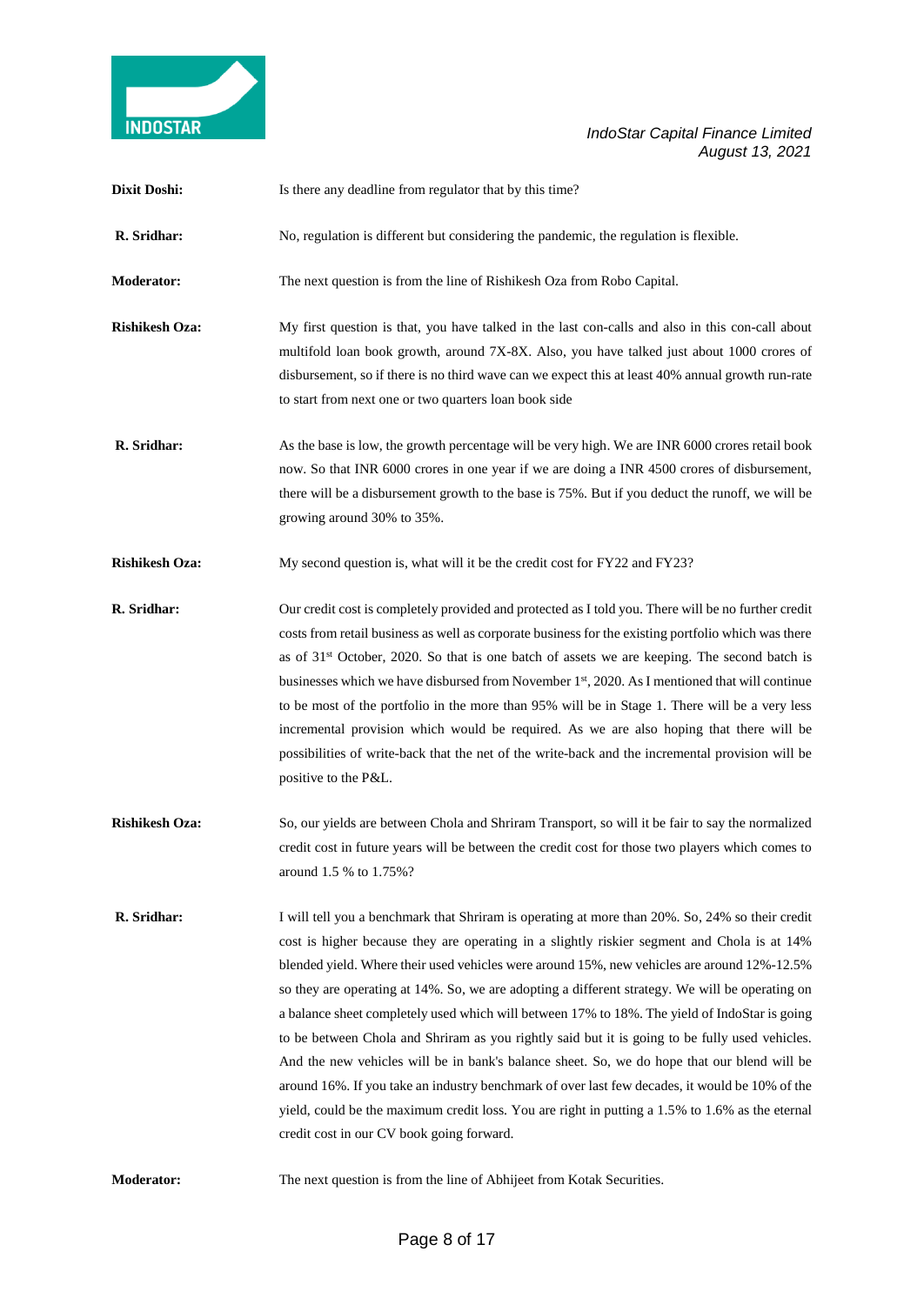

| Dixit Doshi:          | Is there any deadline from regulator that by this time?                                                                                                                                                                                                                                                                                                                                                                                                                                                                                                                                                                                                                                                                                                                                                                                                                                                                                              |
|-----------------------|------------------------------------------------------------------------------------------------------------------------------------------------------------------------------------------------------------------------------------------------------------------------------------------------------------------------------------------------------------------------------------------------------------------------------------------------------------------------------------------------------------------------------------------------------------------------------------------------------------------------------------------------------------------------------------------------------------------------------------------------------------------------------------------------------------------------------------------------------------------------------------------------------------------------------------------------------|
| R. Sridhar:           | No, regulation is different but considering the pandemic, the regulation is flexible.                                                                                                                                                                                                                                                                                                                                                                                                                                                                                                                                                                                                                                                                                                                                                                                                                                                                |
| <b>Moderator:</b>     | The next question is from the line of Rishikesh Oza from Robo Capital.                                                                                                                                                                                                                                                                                                                                                                                                                                                                                                                                                                                                                                                                                                                                                                                                                                                                               |
| <b>Rishikesh Oza:</b> | My first question is that, you have talked in the last con-calls and also in this con-call about<br>multifold loan book growth, around 7X-8X. Also, you have talked just about 1000 crores of<br>disbursement, so if there is no third wave can we expect this at least 40% annual growth run-rate<br>to start from next one or two quarters loan book side                                                                                                                                                                                                                                                                                                                                                                                                                                                                                                                                                                                          |
| R. Sridhar:           | As the base is low, the growth percentage will be very high. We are INR 6000 crores retail book<br>now. So that INR 6000 crores in one year if we are doing a INR 4500 crores of disbursement,<br>there will be a disbursement growth to the base is 75%. But if you deduct the runoff, we will be<br>growing around 30% to 35%.                                                                                                                                                                                                                                                                                                                                                                                                                                                                                                                                                                                                                     |
| <b>Rishikesh Oza:</b> | My second question is, what will it be the credit cost for FY22 and FY23?                                                                                                                                                                                                                                                                                                                                                                                                                                                                                                                                                                                                                                                                                                                                                                                                                                                                            |
| R. Sridhar:           | Our credit cost is completely provided and protected as I told you. There will be no further credit<br>costs from retail business as well as corporate business for the existing portfolio which was there<br>as of $31st$ October, 2020. So that is one batch of assets we are keeping. The second batch is<br>businesses which we have disbursed from November 1 <sup>st</sup> , 2020. As I mentioned that will continue<br>to be most of the portfolio in the more than 95% will be in Stage 1. There will be a very less<br>incremental provision which would be required. As we are also hoping that there will be<br>possibilities of write-back that the net of the write-back and the incremental provision will be<br>positive to the P&L.                                                                                                                                                                                                  |
| <b>Rishikesh Oza:</b> | So, our yields are between Chola and Shriram Transport, so will it be fair to say the normalized<br>credit cost in future years will be between the credit cost for those two players which comes to<br>around 1.5 % to 1.75%?                                                                                                                                                                                                                                                                                                                                                                                                                                                                                                                                                                                                                                                                                                                       |
| R. Sridhar:           | I will tell you a benchmark that Shriram is operating at more than 20%. So, 24% so their credit<br>cost is higher because they are operating in a slightly riskier segment and Chola is at 14%<br>blended yield. Where their used vehicles were around 15%, new vehicles are around 12%-12.5%<br>so they are operating at 14%. So, we are adopting a different strategy. We will be operating on<br>a balance sheet completely used which will between 17% to 18%. The yield of IndoStar is going<br>to be between Chola and Shriram as you rightly said but it is going to be fully used vehicles.<br>And the new vehicles will be in bank's balance sheet. So, we do hope that our blend will be<br>around 16%. If you take an industry benchmark of over last few decades, it would be 10% of the<br>yield, could be the maximum credit loss. You are right in putting a 1.5% to 1.6% as the eternal<br>credit cost in our CV book going forward. |
| <b>Moderator:</b>     | The next question is from the line of Abhijeet from Kotak Securities.                                                                                                                                                                                                                                                                                                                                                                                                                                                                                                                                                                                                                                                                                                                                                                                                                                                                                |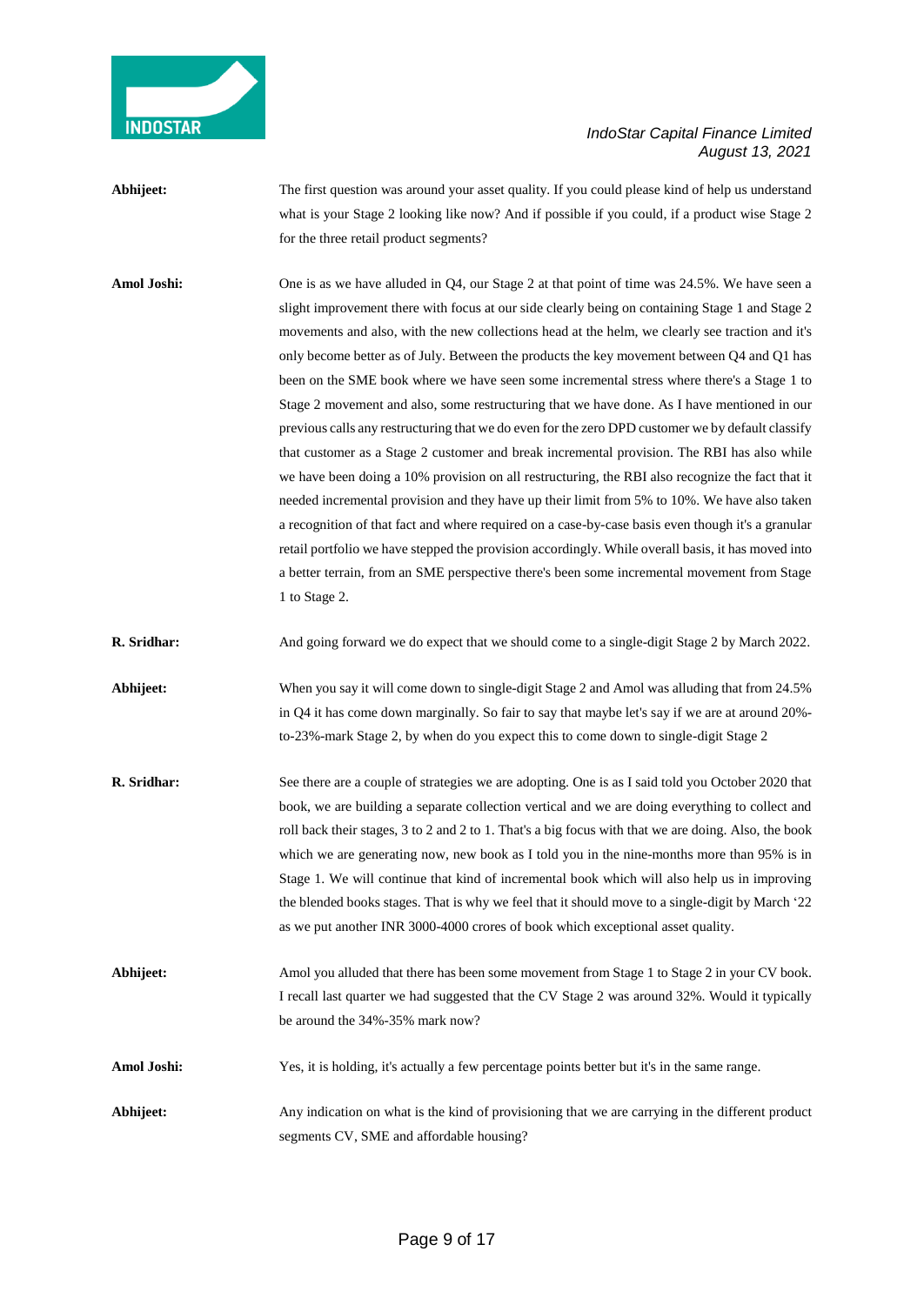

- Abhijeet: The first question was around your asset quality. If you could please kind of help us understand what is your Stage 2 looking like now? And if possible if you could, if a product wise Stage 2 for the three retail product segments?
- **Amol Joshi:** One is as we have alluded in Q4, our Stage 2 at that point of time was 24.5%. We have seen a slight improvement there with focus at our side clearly being on containing Stage 1 and Stage 2 movements and also, with the new collections head at the helm, we clearly see traction and it's only become better as of July. Between the products the key movement between Q4 and Q1 has been on the SME book where we have seen some incremental stress where there's a Stage 1 to Stage 2 movement and also, some restructuring that we have done. As I have mentioned in our previous calls any restructuring that we do even for the zero DPD customer we by default classify that customer as a Stage 2 customer and break incremental provision. The RBI has also while we have been doing a 10% provision on all restructuring, the RBI also recognize the fact that it needed incremental provision and they have up their limit from 5% to 10%. We have also taken a recognition of that fact and where required on a case-by-case basis even though it's a granular retail portfolio we have stepped the provision accordingly. While overall basis, it has moved into a better terrain, from an SME perspective there's been some incremental movement from Stage 1 to Stage 2.
- **R. Sridhar:** And going forward we do expect that we should come to a single-digit Stage 2 by March 2022.
- **Abhijeet:** When you say it will come down to single-digit Stage 2 and Amol was alluding that from 24.5% in Q4 it has come down marginally. So fair to say that maybe let's say if we are at around 20% to-23%-mark Stage 2, by when do you expect this to come down to single-digit Stage 2
- **R. Sridhar:** See there are a couple of strategies we are adopting. One is as I said told you October 2020 that book, we are building a separate collection vertical and we are doing everything to collect and roll back their stages, 3 to 2 and 2 to 1. That's a big focus with that we are doing. Also, the book which we are generating now, new book as I told you in the nine-months more than 95% is in Stage 1. We will continue that kind of incremental book which will also help us in improving the blended books stages. That is why we feel that it should move to a single-digit by March '22 as we put another INR 3000-4000 crores of book which exceptional asset quality.
- **Abhijeet:** Amol you alluded that there has been some movement from Stage 1 to Stage 2 in your CV book. I recall last quarter we had suggested that the CV Stage 2 was around 32%. Would it typically be around the 34%-35% mark now?
- **Amol Joshi:** Yes, it is holding, it's actually a few percentage points better but it's in the same range.
- Abhijeet: Any indication on what is the kind of provisioning that we are carrying in the different product segments CV, SME and affordable housing?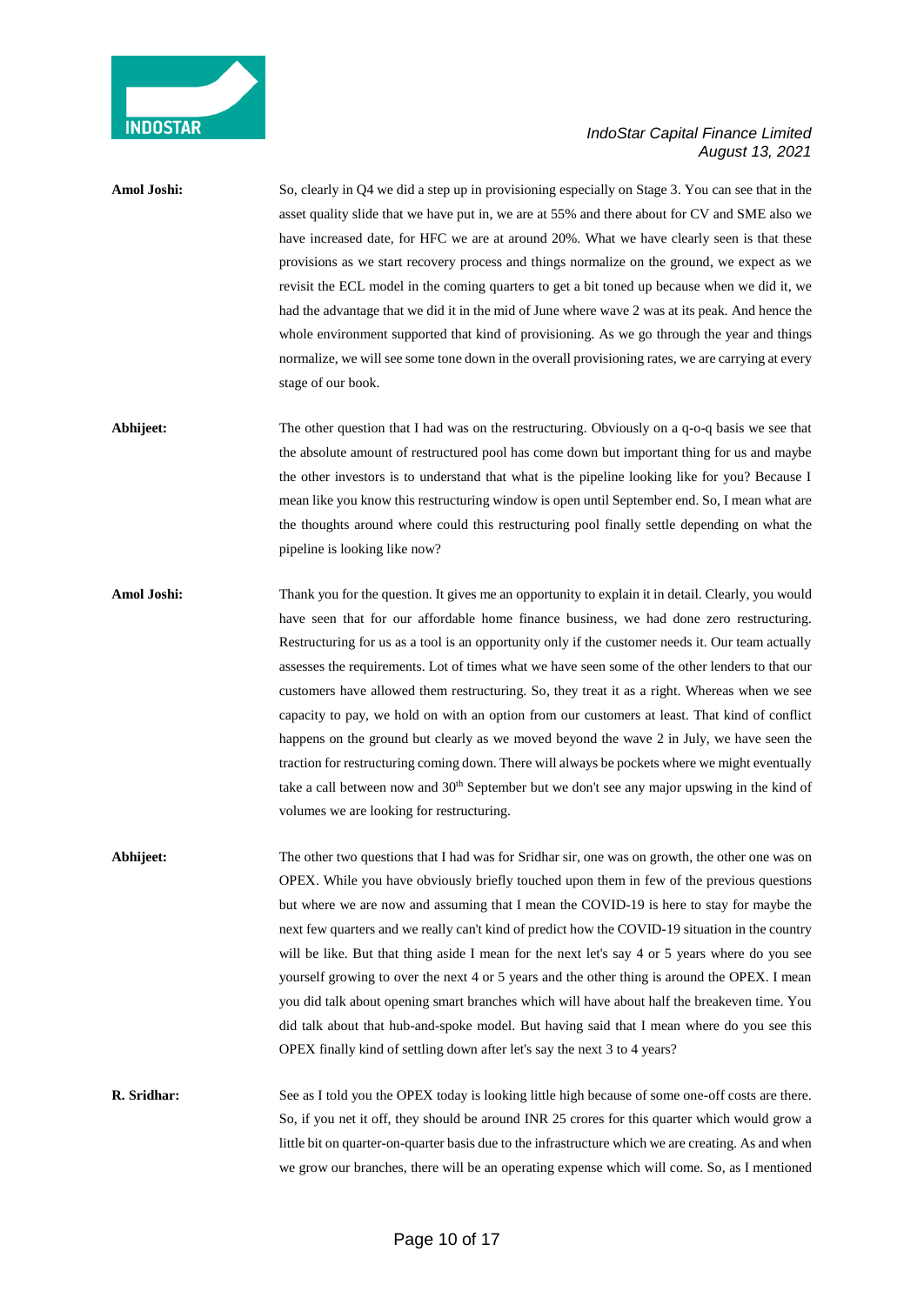

### Amol Joshi: So, clearly in Q4 we did a step up in provisioning especially on Stage 3. You can see that in the asset quality slide that we have put in, we are at 55% and there about for CV and SME also we have increased date, for HFC we are at around 20%. What we have clearly seen is that these provisions as we start recovery process and things normalize on the ground, we expect as we revisit the ECL model in the coming quarters to get a bit toned up because when we did it, we had the advantage that we did it in the mid of June where wave 2 was at its peak. And hence the whole environment supported that kind of provisioning. As we go through the year and things normalize, we will see some tone down in the overall provisioning rates, we are carrying at every stage of our book.

- Abhijeet: The other question that I had was on the restructuring. Obviously on a q-o-q basis we see that the absolute amount of restructured pool has come down but important thing for us and maybe the other investors is to understand that what is the pipeline looking like for you? Because I mean like you know this restructuring window is open until September end. So, I mean what are the thoughts around where could this restructuring pool finally settle depending on what the pipeline is looking like now?
- Amol Joshi: Thank you for the question. It gives me an opportunity to explain it in detail. Clearly, you would have seen that for our affordable home finance business, we had done zero restructuring. Restructuring for us as a tool is an opportunity only if the customer needs it. Our team actually assesses the requirements. Lot of times what we have seen some of the other lenders to that our customers have allowed them restructuring. So, they treat it as a right. Whereas when we see capacity to pay, we hold on with an option from our customers at least. That kind of conflict happens on the ground but clearly as we moved beyond the wave 2 in July, we have seen the traction for restructuring coming down. There will always be pockets where we might eventually take a call between now and 30<sup>th</sup> September but we don't see any major upswing in the kind of volumes we are looking for restructuring.
- Abhijeet: The other two questions that I had was for Sridhar sir, one was on growth, the other one was on OPEX. While you have obviously briefly touched upon them in few of the previous questions but where we are now and assuming that I mean the COVID-19 is here to stay for maybe the next few quarters and we really can't kind of predict how the COVID-19 situation in the country will be like. But that thing aside I mean for the next let's say 4 or 5 years where do you see yourself growing to over the next 4 or 5 years and the other thing is around the OPEX. I mean you did talk about opening smart branches which will have about half the breakeven time. You did talk about that hub-and-spoke model. But having said that I mean where do you see this OPEX finally kind of settling down after let's say the next 3 to 4 years?
- **R. Sridhar:** See as I told you the OPEX today is looking little high because of some one-off costs are there. So, if you net it off, they should be around INR 25 crores for this quarter which would grow a little bit on quarter-on-quarter basis due to the infrastructure which we are creating. As and when we grow our branches, there will be an operating expense which will come. So, as I mentioned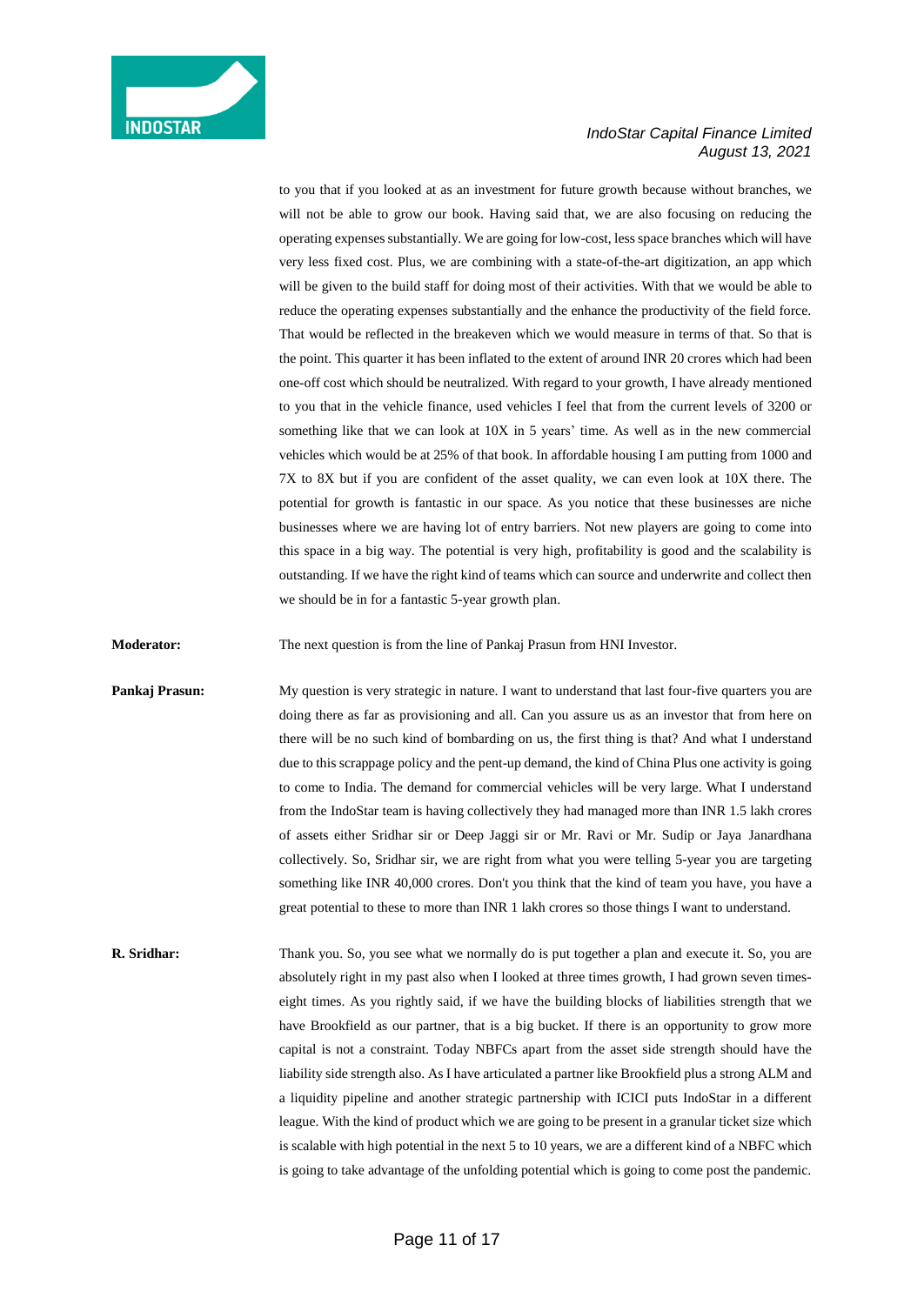

to you that if you looked at as an investment for future growth because without branches, we will not be able to grow our book. Having said that, we are also focusing on reducing the operating expenses substantially. We are going for low-cost, less space branches which will have very less fixed cost. Plus, we are combining with a state-of-the-art digitization, an app which will be given to the build staff for doing most of their activities. With that we would be able to reduce the operating expenses substantially and the enhance the productivity of the field force. That would be reflected in the breakeven which we would measure in terms of that. So that is the point. This quarter it has been inflated to the extent of around INR 20 crores which had been one-off cost which should be neutralized. With regard to your growth, I have already mentioned to you that in the vehicle finance, used vehicles I feel that from the current levels of 3200 or something like that we can look at 10X in 5 years' time. As well as in the new commercial vehicles which would be at 25% of that book. In affordable housing I am putting from 1000 and 7X to 8X but if you are confident of the asset quality, we can even look at 10X there. The potential for growth is fantastic in our space. As you notice that these businesses are niche businesses where we are having lot of entry barriers. Not new players are going to come into this space in a big way. The potential is very high, profitability is good and the scalability is outstanding. If we have the right kind of teams which can source and underwrite and collect then we should be in for a fantastic 5-year growth plan.

**Moderator:** The next question is from the line of Pankaj Prasun from HNI Investor.

**Pankaj Prasun:** My question is very strategic in nature. I want to understand that last four-five quarters you are doing there as far as provisioning and all. Can you assure us as an investor that from here on there will be no such kind of bombarding on us, the first thing is that? And what I understand due to this scrappage policy and the pent-up demand, the kind of China Plus one activity is going to come to India. The demand for commercial vehicles will be very large. What I understand from the IndoStar team is having collectively they had managed more than INR 1.5 lakh crores of assets either Sridhar sir or Deep Jaggi sir or Mr. Ravi or Mr. Sudip or Jaya Janardhana collectively. So, Sridhar sir, we are right from what you were telling 5-year you are targeting something like INR 40,000 crores. Don't you think that the kind of team you have, you have a great potential to these to more than INR 1 lakh crores so those things I want to understand.

**R. Sridhar:** Thank you. So, you see what we normally do is put together a plan and execute it. So, you are absolutely right in my past also when I looked at three times growth, I had grown seven timeseight times. As you rightly said, if we have the building blocks of liabilities strength that we have Brookfield as our partner, that is a big bucket. If there is an opportunity to grow more capital is not a constraint. Today NBFCs apart from the asset side strength should have the liability side strength also. As I have articulated a partner like Brookfield plus a strong ALM and a liquidity pipeline and another strategic partnership with ICICI puts IndoStar in a different league. With the kind of product which we are going to be present in a granular ticket size which is scalable with high potential in the next 5 to 10 years, we are a different kind of a NBFC which is going to take advantage of the unfolding potential which is going to come post the pandemic.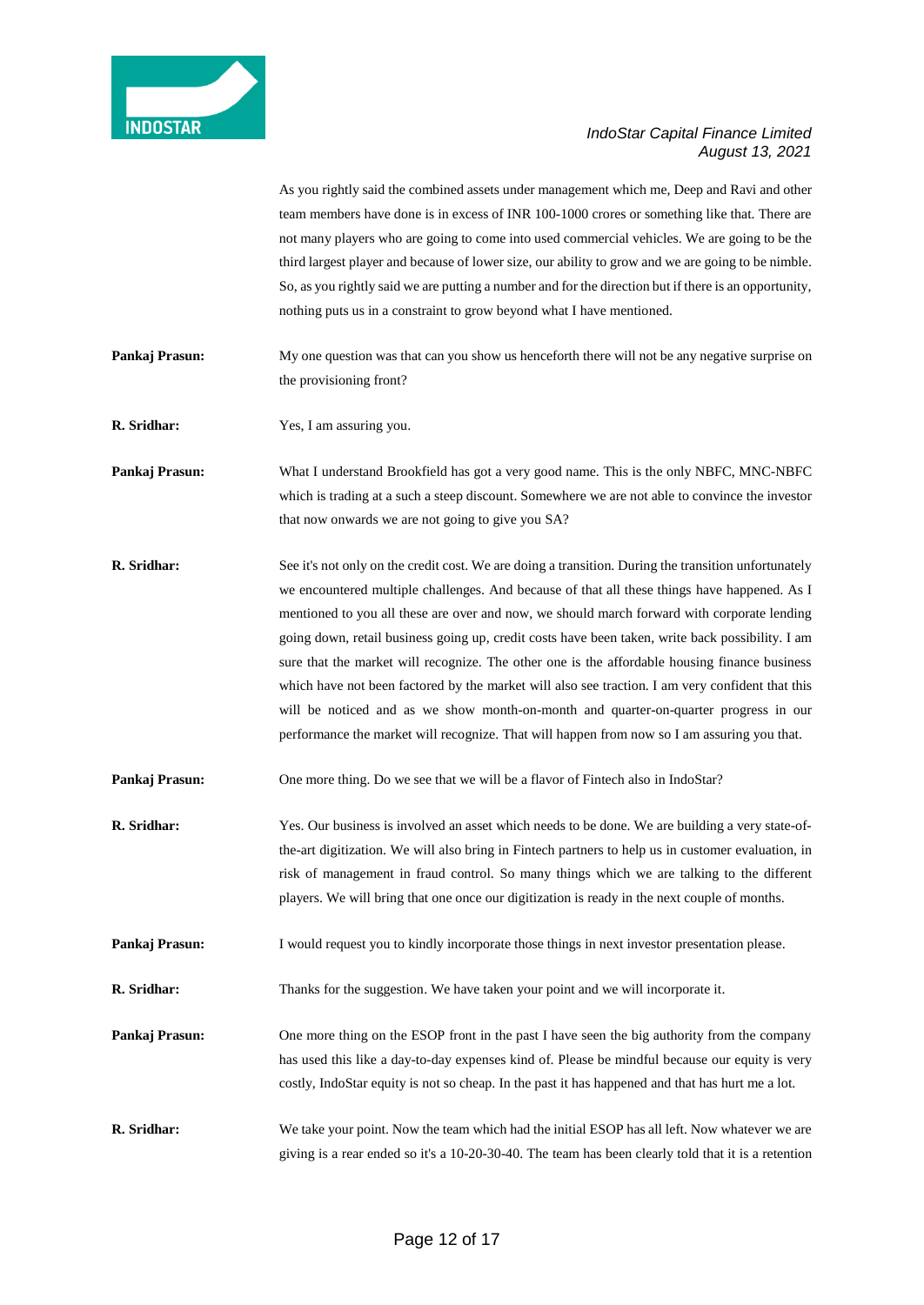

As you rightly said the combined assets under management which me, Deep and Ravi and other team members have done is in excess of INR 100-1000 crores or something like that. There are not many players who are going to come into used commercial vehicles. We are going to be the third largest player and because of lower size, our ability to grow and we are going to be nimble. So, as you rightly said we are putting a number and for the direction but if there is an opportunity, nothing puts us in a constraint to grow beyond what I have mentioned.

- **Pankaj Prasun:** My one question was that can you show us henceforth there will not be any negative surprise on the provisioning front?
- **R. Sridhar:** Yes, I am assuring you.
- **Pankaj Prasun:** What I understand Brookfield has got a very good name. This is the only NBFC, MNC-NBFC which is trading at a such a steep discount. Somewhere we are not able to convince the investor that now onwards we are not going to give you SA?
- **R. Sridhar:** See it's not only on the credit cost. We are doing a transition. During the transition unfortunately we encountered multiple challenges. And because of that all these things have happened. As I mentioned to you all these are over and now, we should march forward with corporate lending going down, retail business going up, credit costs have been taken, write back possibility. I am sure that the market will recognize. The other one is the affordable housing finance business which have not been factored by the market will also see traction. I am very confident that this will be noticed and as we show month-on-month and quarter-on-quarter progress in our performance the market will recognize. That will happen from now so I am assuring you that.
- **Pankaj Prasun:** One more thing. Do we see that we will be a flavor of Fintech also in IndoStar?
- **R. Sridhar:** Yes. Our business is involved an asset which needs to be done. We are building a very state-ofthe-art digitization. We will also bring in Fintech partners to help us in customer evaluation, in risk of management in fraud control. So many things which we are talking to the different players. We will bring that one once our digitization is ready in the next couple of months.
- **Pankaj Prasun:** I would request you to kindly incorporate those things in next investor presentation please.
- **R. Sridhar:** Thanks for the suggestion. We have taken your point and we will incorporate it.
- **Pankaj Prasun:** One more thing on the ESOP front in the past I have seen the big authority from the company has used this like a day-to-day expenses kind of. Please be mindful because our equity is very costly, IndoStar equity is not so cheap. In the past it has happened and that has hurt me a lot.
- **R. Sridhar:** We take your point. Now the team which had the initial ESOP has all left. Now whatever we are giving is a rear ended so it's a 10-20-30-40. The team has been clearly told that it is a retention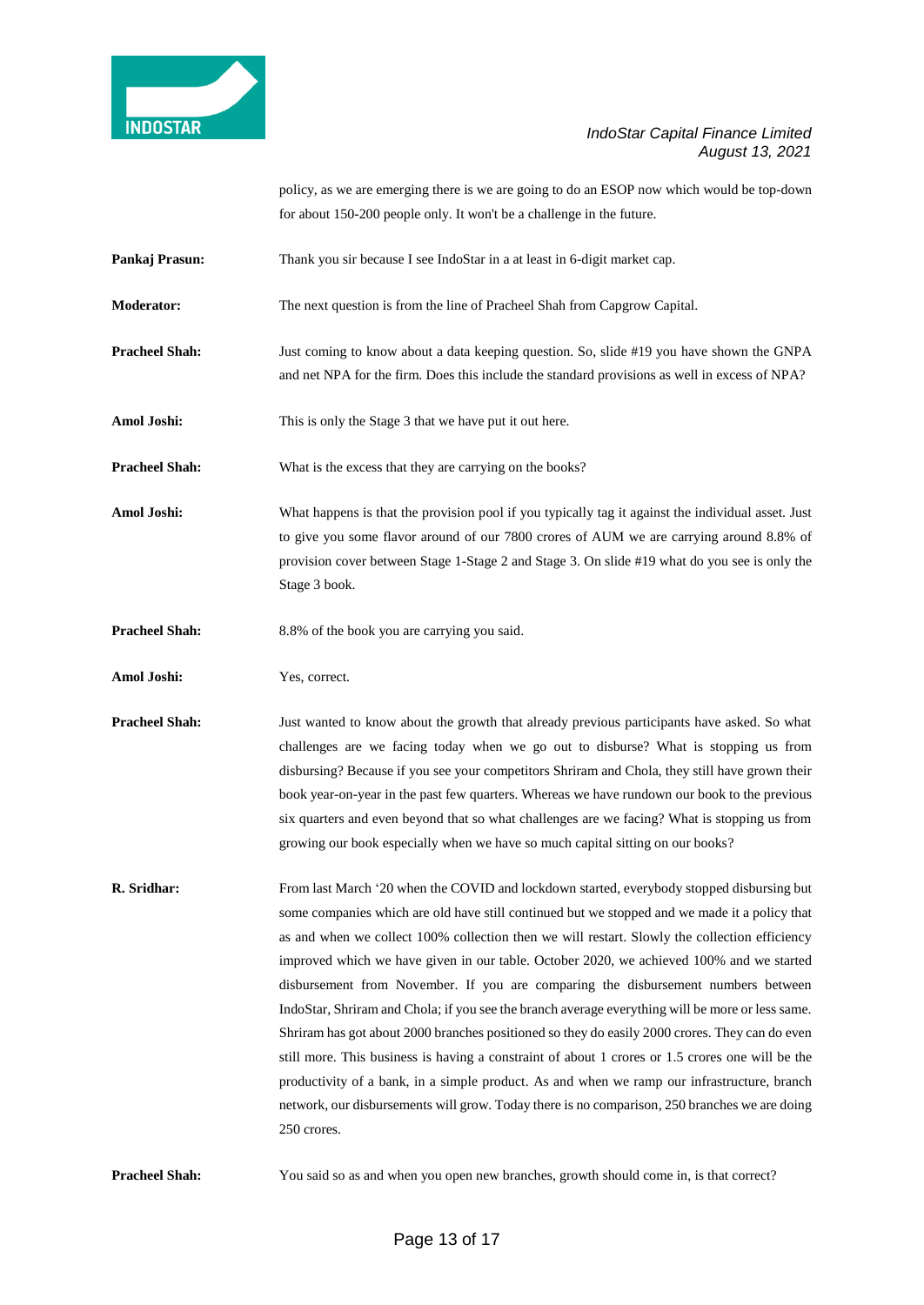

policy, as we are emerging there is we are going to do an ESOP now which would be top-down for about 150-200 people only. It won't be a challenge in the future.

**Pankaj Prasun:** Thank you sir because I see IndoStar in a at least in 6-digit market cap.

**Moderator:** The next question is from the line of Pracheel Shah from Capgrow Capital.

**Pracheel Shah:** Just coming to know about a data keeping question. So, slide #19 you have shown the GNPA and net NPA for the firm. Does this include the standard provisions as well in excess of NPA?

Amol Joshi: This is only the Stage 3 that we have put it out here.

**Pracheel Shah:** What is the excess that they are carrying on the books?

**Amol Joshi:** What happens is that the provision pool if you typically tag it against the individual asset. Just to give you some flavor around of our 7800 crores of AUM we are carrying around 8.8% of provision cover between Stage 1-Stage 2 and Stage 3. On slide #19 what do you see is only the Stage 3 book.

**Pracheel Shah:** 8.8% of the book you are carrying you said.

**Amol Joshi:** Yes, correct.

- **Pracheel Shah:** Just wanted to know about the growth that already previous participants have asked. So what challenges are we facing today when we go out to disburse? What is stopping us from disbursing? Because if you see your competitors Shriram and Chola, they still have grown their book year-on-year in the past few quarters. Whereas we have rundown our book to the previous six quarters and even beyond that so what challenges are we facing? What is stopping us from growing our book especially when we have so much capital sitting on our books?
- **R. Sridhar:** From last March '20 when the COVID and lockdown started, everybody stopped disbursing but some companies which are old have still continued but we stopped and we made it a policy that as and when we collect 100% collection then we will restart. Slowly the collection efficiency improved which we have given in our table. October 2020, we achieved 100% and we started disbursement from November. If you are comparing the disbursement numbers between IndoStar, Shriram and Chola; if you see the branch average everything will be more or less same. Shriram has got about 2000 branches positioned so they do easily 2000 crores. They can do even still more. This business is having a constraint of about 1 crores or 1.5 crores one will be the productivity of a bank, in a simple product. As and when we ramp our infrastructure, branch network, our disbursements will grow. Today there is no comparison, 250 branches we are doing 250 crores.

**Pracheel Shah:** You said so as and when you open new branches, growth should come in, is that correct?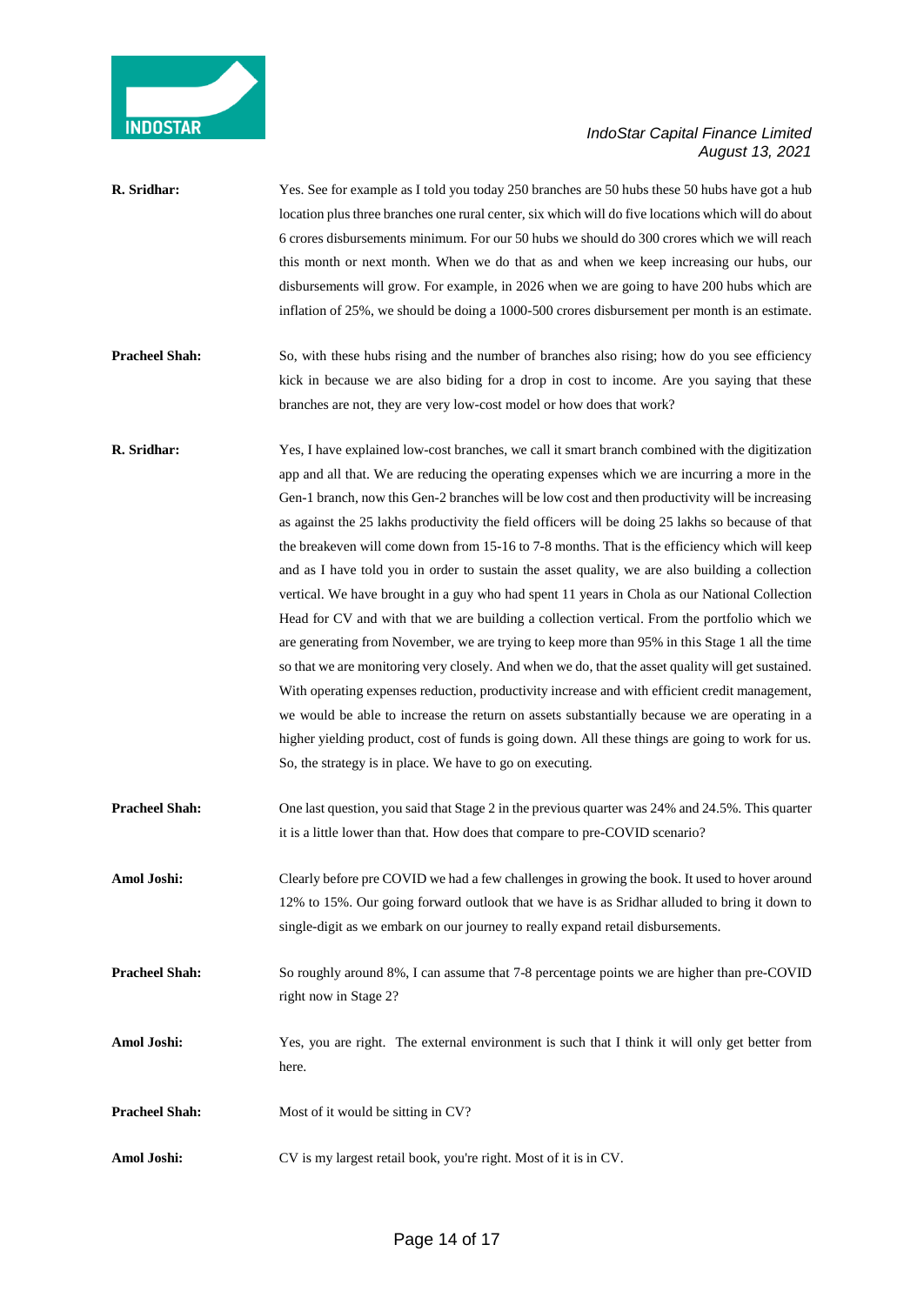

| R. Sridhar:           | Yes. See for example as I told you today 250 branches are 50 hubs these 50 hubs have got a hub<br>location plus three branches one rural center, six which will do five locations which will do about<br>6 crores disbursements minimum. For our 50 hubs we should do 300 crores which we will reach<br>this month or next month. When we do that as and when we keep increasing our hubs, our<br>disbursements will grow. For example, in 2026 when we are going to have 200 hubs which are<br>inflation of 25%, we should be doing a 1000-500 crores disbursement per month is an estimate.                                                                                                                                                                                                                                                                                                                                                                                                                                                                                                                                                                                                                                                                                                                                                                                             |
|-----------------------|-------------------------------------------------------------------------------------------------------------------------------------------------------------------------------------------------------------------------------------------------------------------------------------------------------------------------------------------------------------------------------------------------------------------------------------------------------------------------------------------------------------------------------------------------------------------------------------------------------------------------------------------------------------------------------------------------------------------------------------------------------------------------------------------------------------------------------------------------------------------------------------------------------------------------------------------------------------------------------------------------------------------------------------------------------------------------------------------------------------------------------------------------------------------------------------------------------------------------------------------------------------------------------------------------------------------------------------------------------------------------------------------|
| <b>Pracheel Shah:</b> | So, with these hubs rising and the number of branches also rising; how do you see efficiency<br>kick in because we are also biding for a drop in cost to income. Are you saying that these<br>branches are not, they are very low-cost model or how does that work?                                                                                                                                                                                                                                                                                                                                                                                                                                                                                                                                                                                                                                                                                                                                                                                                                                                                                                                                                                                                                                                                                                                       |
| R. Sridhar:           | Yes, I have explained low-cost branches, we call it smart branch combined with the digitization<br>app and all that. We are reducing the operating expenses which we are incurring a more in the<br>Gen-1 branch, now this Gen-2 branches will be low cost and then productivity will be increasing<br>as against the 25 lakhs productivity the field officers will be doing 25 lakhs so because of that<br>the breakeven will come down from 15-16 to 7-8 months. That is the efficiency which will keep<br>and as I have told you in order to sustain the asset quality, we are also building a collection<br>vertical. We have brought in a guy who had spent 11 years in Chola as our National Collection<br>Head for CV and with that we are building a collection vertical. From the portfolio which we<br>are generating from November, we are trying to keep more than 95% in this Stage 1 all the time<br>so that we are monitoring very closely. And when we do, that the asset quality will get sustained.<br>With operating expenses reduction, productivity increase and with efficient credit management,<br>we would be able to increase the return on assets substantially because we are operating in a<br>higher yielding product, cost of funds is going down. All these things are going to work for us.<br>So, the strategy is in place. We have to go on executing. |
| <b>Pracheel Shah:</b> | One last question, you said that Stage 2 in the previous quarter was 24% and 24.5%. This quarter<br>it is a little lower than that. How does that compare to pre-COVID scenario?                                                                                                                                                                                                                                                                                                                                                                                                                                                                                                                                                                                                                                                                                                                                                                                                                                                                                                                                                                                                                                                                                                                                                                                                          |
| Amol Joshi:           | Clearly before pre COVID we had a few challenges in growing the book. It used to hover around<br>12% to 15%. Our going forward outlook that we have is as Sridhar alluded to bring it down to<br>single-digit as we embark on our journey to really expand retail disbursements.                                                                                                                                                                                                                                                                                                                                                                                                                                                                                                                                                                                                                                                                                                                                                                                                                                                                                                                                                                                                                                                                                                          |
| <b>Pracheel Shah:</b> | So roughly around 8%, I can assume that 7-8 percentage points we are higher than pre-COVID<br>right now in Stage 2?                                                                                                                                                                                                                                                                                                                                                                                                                                                                                                                                                                                                                                                                                                                                                                                                                                                                                                                                                                                                                                                                                                                                                                                                                                                                       |
| Amol Joshi:           | Yes, you are right. The external environment is such that I think it will only get better from<br>here.                                                                                                                                                                                                                                                                                                                                                                                                                                                                                                                                                                                                                                                                                                                                                                                                                                                                                                                                                                                                                                                                                                                                                                                                                                                                                   |
| <b>Pracheel Shah:</b> | Most of it would be sitting in CV?                                                                                                                                                                                                                                                                                                                                                                                                                                                                                                                                                                                                                                                                                                                                                                                                                                                                                                                                                                                                                                                                                                                                                                                                                                                                                                                                                        |
| Amol Joshi:           | CV is my largest retail book, you're right. Most of it is in CV.                                                                                                                                                                                                                                                                                                                                                                                                                                                                                                                                                                                                                                                                                                                                                                                                                                                                                                                                                                                                                                                                                                                                                                                                                                                                                                                          |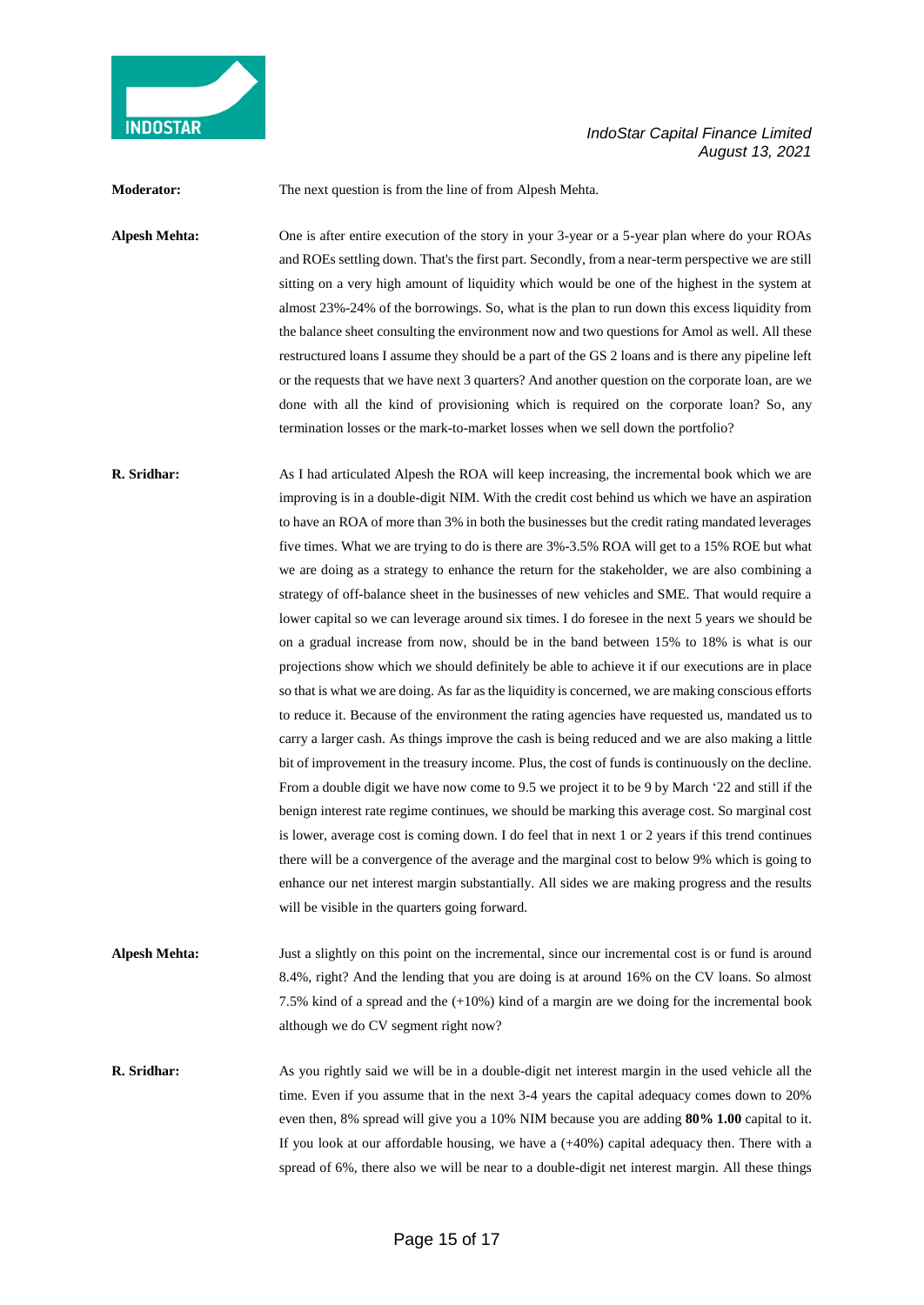

**Moderator:** The next question is from the line of from Alpesh Mehta.

**Alpesh Mehta:** One is after entire execution of the story in your 3-year or a 5-year plan where do your ROAs and ROEs settling down. That's the first part. Secondly, from a near-term perspective we are still sitting on a very high amount of liquidity which would be one of the highest in the system at almost 23%-24% of the borrowings. So, what is the plan to run down this excess liquidity from the balance sheet consulting the environment now and two questions for Amol as well. All these restructured loans I assume they should be a part of the GS 2 loans and is there any pipeline left or the requests that we have next 3 quarters? And another question on the corporate loan, are we done with all the kind of provisioning which is required on the corporate loan? So, any termination losses or the mark-to-market losses when we sell down the portfolio?

**R. Sridhar:** As I had articulated Alpesh the ROA will keep increasing, the incremental book which we are improving is in a double-digit NIM. With the credit cost behind us which we have an aspiration to have an ROA of more than 3% in both the businesses but the credit rating mandated leverages five times. What we are trying to do is there are 3%-3.5% ROA will get to a 15% ROE but what we are doing as a strategy to enhance the return for the stakeholder, we are also combining a strategy of off-balance sheet in the businesses of new vehicles and SME. That would require a lower capital so we can leverage around six times. I do foresee in the next 5 years we should be on a gradual increase from now, should be in the band between 15% to 18% is what is our projections show which we should definitely be able to achieve it if our executions are in place so that is what we are doing. As far as the liquidity is concerned, we are making conscious efforts to reduce it. Because of the environment the rating agencies have requested us, mandated us to carry a larger cash. As things improve the cash is being reduced and we are also making a little bit of improvement in the treasury income. Plus, the cost of funds is continuously on the decline. From a double digit we have now come to 9.5 we project it to be 9 by March '22 and still if the benign interest rate regime continues, we should be marking this average cost. So marginal cost is lower, average cost is coming down. I do feel that in next 1 or 2 years if this trend continues there will be a convergence of the average and the marginal cost to below 9% which is going to enhance our net interest margin substantially. All sides we are making progress and the results will be visible in the quarters going forward.

**Alpesh Mehta:** Just a slightly on this point on the incremental, since our incremental cost is or fund is around 8.4%, right? And the lending that you are doing is at around 16% on the CV loans. So almost 7.5% kind of a spread and the (+10%) kind of a margin are we doing for the incremental book although we do CV segment right now?

**R. Sridhar:** As you rightly said we will be in a double-digit net interest margin in the used vehicle all the time. Even if you assume that in the next 3-4 years the capital adequacy comes down to 20% even then, 8% spread will give you a 10% NIM because you are adding **80% 1.00** capital to it. If you look at our affordable housing, we have a (+40%) capital adequacy then. There with a spread of 6%, there also we will be near to a double-digit net interest margin. All these things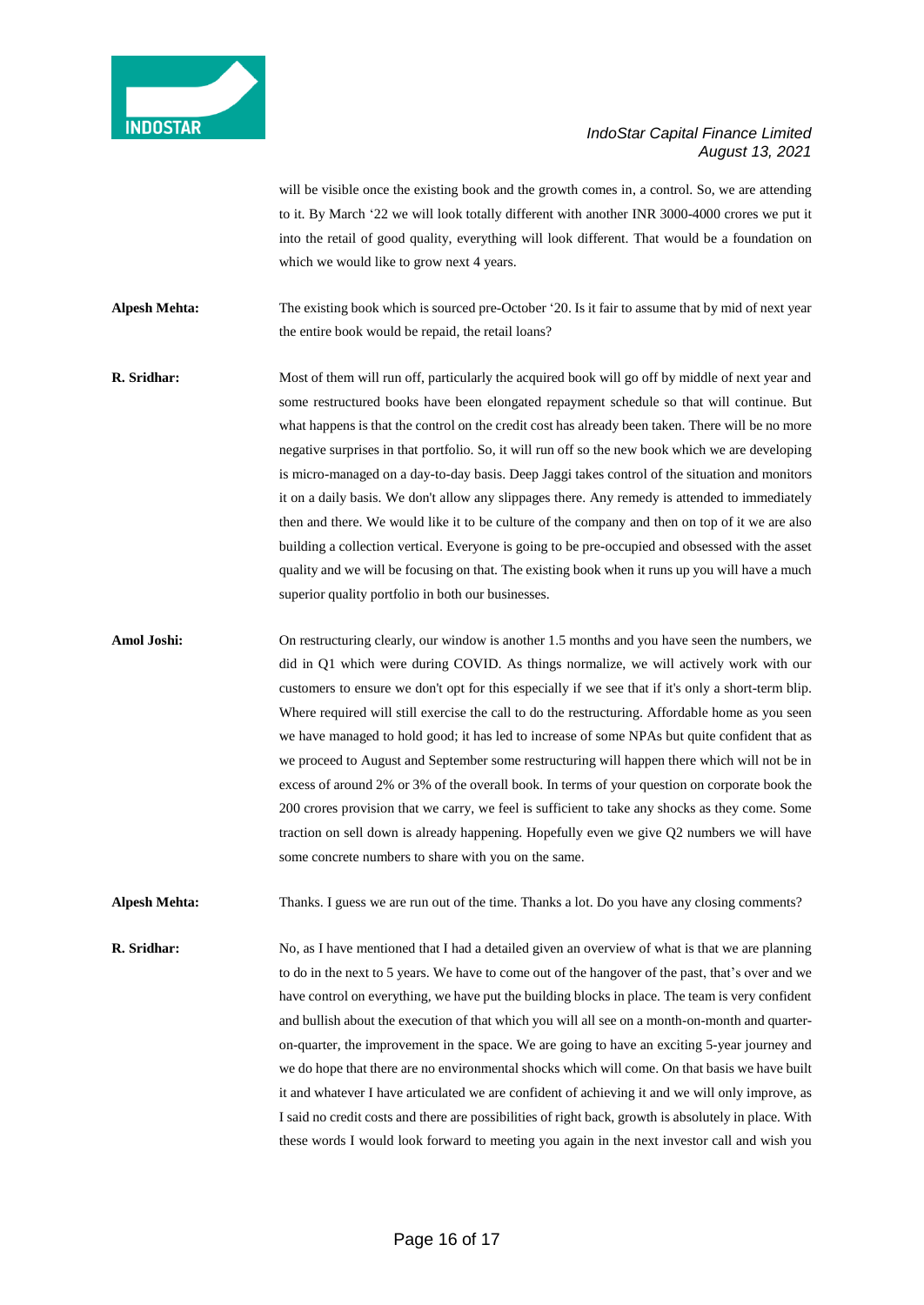

will be visible once the existing book and the growth comes in, a control. So, we are attending to it. By March '22 we will look totally different with another INR 3000-4000 crores we put it into the retail of good quality, everything will look different. That would be a foundation on which we would like to grow next 4 years.

**Alpesh Mehta:** The existing book which is sourced pre-October '20. Is it fair to assume that by mid of next year the entire book would be repaid, the retail loans?

- **R. Sridhar:** Most of them will run off, particularly the acquired book will go off by middle of next year and some restructured books have been elongated repayment schedule so that will continue. But what happens is that the control on the credit cost has already been taken. There will be no more negative surprises in that portfolio. So, it will run off so the new book which we are developing is micro-managed on a day-to-day basis. Deep Jaggi takes control of the situation and monitors it on a daily basis. We don't allow any slippages there. Any remedy is attended to immediately then and there. We would like it to be culture of the company and then on top of it we are also building a collection vertical. Everyone is going to be pre-occupied and obsessed with the asset quality and we will be focusing on that. The existing book when it runs up you will have a much superior quality portfolio in both our businesses.
- **Amol Joshi:** On restructuring clearly, our window is another 1.5 months and you have seen the numbers, we did in Q1 which were during COVID. As things normalize, we will actively work with our customers to ensure we don't opt for this especially if we see that if it's only a short-term blip. Where required will still exercise the call to do the restructuring. Affordable home as you seen we have managed to hold good; it has led to increase of some NPAs but quite confident that as we proceed to August and September some restructuring will happen there which will not be in excess of around 2% or 3% of the overall book. In terms of your question on corporate book the 200 crores provision that we carry, we feel is sufficient to take any shocks as they come. Some traction on sell down is already happening. Hopefully even we give Q2 numbers we will have some concrete numbers to share with you on the same.

**Alpesh Mehta:** Thanks. I guess we are run out of the time. Thanks a lot. Do you have any closing comments?

**R. Sridhar:** No, as I have mentioned that I had a detailed given an overview of what is that we are planning to do in the next to 5 years. We have to come out of the hangover of the past, that's over and we have control on everything, we have put the building blocks in place. The team is very confident and bullish about the execution of that which you will all see on a month-on-month and quarteron-quarter, the improvement in the space. We are going to have an exciting 5-year journey and we do hope that there are no environmental shocks which will come. On that basis we have built it and whatever I have articulated we are confident of achieving it and we will only improve, as I said no credit costs and there are possibilities of right back, growth is absolutely in place. With these words I would look forward to meeting you again in the next investor call and wish you